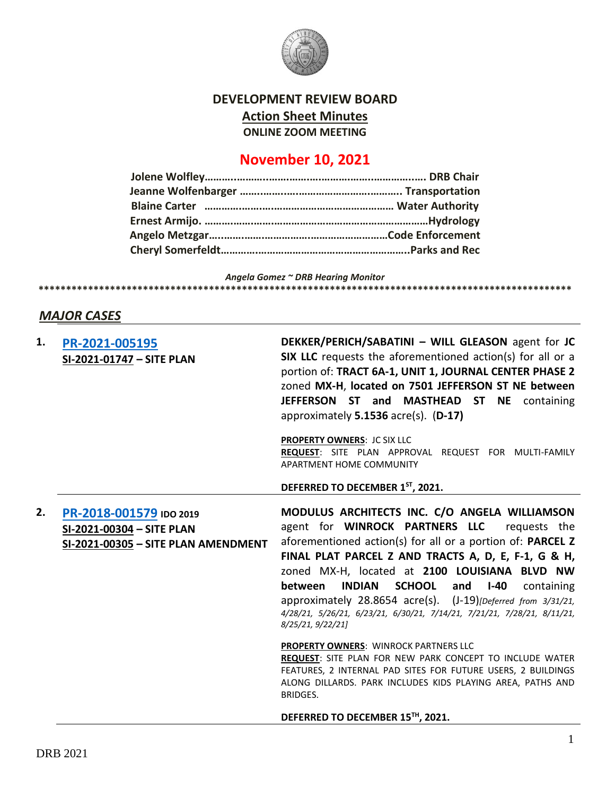

#### **DEVELOPMENT REVIEW BOARD**

**Action Sheet Minutes**

**ONLINE ZOOM MEETING**

# **November 10, 2021**

*Angela Gomez ~ DRB Hearing Monitor* **\*\*\*\*\*\*\*\*\*\*\*\*\*\*\*\*\*\*\*\*\*\*\*\*\*\*\*\*\*\*\*\*\*\*\*\*\*\*\*\*\*\*\*\*\*\*\*\*\*\*\*\*\*\*\*\*\*\*\*\*\*\*\*\*\*\*\*\*\*\*\*\*\*\*\*\*\*\*\*\*\*\*\*\*\*\*\*\*\*\*\*\*\*\*\*\*\***

## *MAJOR CASES*

| 1. | PR-2021-005195<br>SI-2021-01747 - SITE PLAN                                                 | DEKKER/PERICH/SABATINI - WILL GLEASON agent for JC<br>SIX LLC requests the aforementioned action(s) for all or a<br>portion of: TRACT 6A-1, UNIT 1, JOURNAL CENTER PHASE 2<br>zoned MX-H, located on 7501 JEFFERSON ST NE between<br>JEFFERSON ST and MASTHEAD ST NE containing<br>approximately 5.1536 acre(s). (D-17)                                                                                                                                                                                         |
|----|---------------------------------------------------------------------------------------------|-----------------------------------------------------------------------------------------------------------------------------------------------------------------------------------------------------------------------------------------------------------------------------------------------------------------------------------------------------------------------------------------------------------------------------------------------------------------------------------------------------------------|
|    |                                                                                             | <b>PROPERTY OWNERS: JC SIX LLC</b><br>REQUEST: SITE PLAN APPROVAL REQUEST FOR MULTI-FAMILY<br>APARTMENT HOME COMMUNITY                                                                                                                                                                                                                                                                                                                                                                                          |
|    |                                                                                             | DEFERRED TO DECEMBER 1ST, 2021.                                                                                                                                                                                                                                                                                                                                                                                                                                                                                 |
| 2. | PR-2018-001579 IDO 2019<br>SI-2021-00304 - SITE PLAN<br>SI-2021-00305 - SITE PLAN AMENDMENT | MODULUS ARCHITECTS INC. C/O ANGELA WILLIAMSON<br>agent for WINROCK PARTNERS LLC requests the<br>aforementioned action(s) for all or a portion of: PARCEL Z<br>FINAL PLAT PARCEL Z AND TRACTS A, D, E, F-1, G & H,<br>zoned MX-H, located at 2100 LOUISIANA BLVD NW<br><b>INDIAN</b><br><b>SCHOOL</b><br>between<br>and<br>$I-40$<br>containing<br>approximately 28.8654 acre(s). (J-19) [Deferred from 3/31/21,<br>4/28/21, 5/26/21, 6/23/21, 6/30/21, 7/14/21, 7/21/21, 7/28/21, 8/11/21,<br>8/25/21, 9/22/21] |
|    |                                                                                             | <b>PROPERTY OWNERS: WINROCK PARTNERS LLC</b><br>REQUEST: SITE PLAN FOR NEW PARK CONCEPT TO INCLUDE WATER<br>FEATURES, 2 INTERNAL PAD SITES FOR FUTURE USERS, 2 BUILDINGS<br>ALONG DILLARDS. PARK INCLUDES KIDS PLAYING AREA, PATHS AND<br>BRIDGES.                                                                                                                                                                                                                                                              |
|    |                                                                                             | DEFERRED TO DECEMBER 15™, 2021.                                                                                                                                                                                                                                                                                                                                                                                                                                                                                 |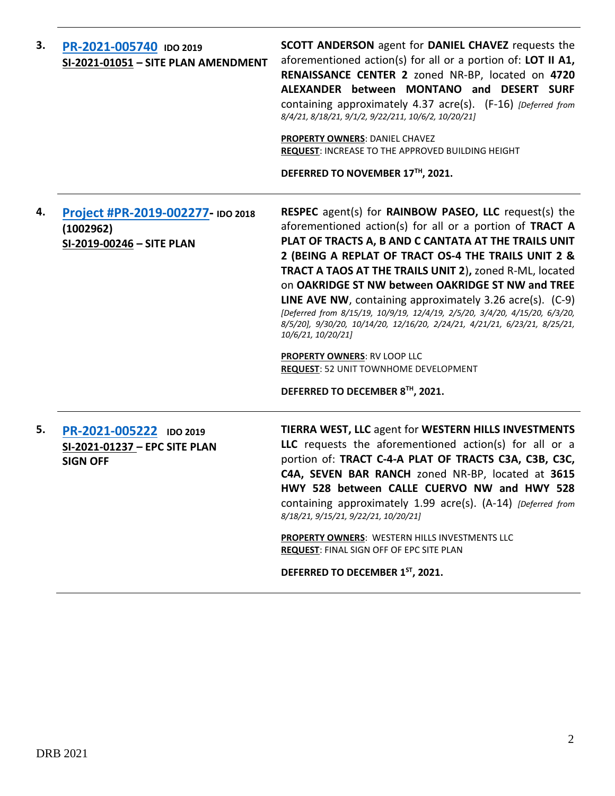| 3. | PR-2021-005740 IDO 2019<br>SI-2021-01051 - SITE PLAN AMENDMENT              | <b>SCOTT ANDERSON</b> agent for <b>DANIEL CHAVEZ</b> requests the<br>aforementioned action(s) for all or a portion of: LOT II A1,<br>RENAISSANCE CENTER 2 zoned NR-BP, located on 4720<br>ALEXANDER between MONTANO and DESERT SURF<br>containing approximately 4.37 acre(s). (F-16) [Deferred from<br>8/4/21, 8/18/21, 9/1/2, 9/22/211, 10/6/2, 10/20/21]<br><b>PROPERTY OWNERS: DANIEL CHAVEZ</b><br><b>REQUEST: INCREASE TO THE APPROVED BUILDING HEIGHT</b><br>DEFERRED TO NOVEMBER 17TH, 2021.                                                                                                                                                                                                                             |
|----|-----------------------------------------------------------------------------|---------------------------------------------------------------------------------------------------------------------------------------------------------------------------------------------------------------------------------------------------------------------------------------------------------------------------------------------------------------------------------------------------------------------------------------------------------------------------------------------------------------------------------------------------------------------------------------------------------------------------------------------------------------------------------------------------------------------------------|
| 4. | Project #PR-2019-002277- IDO 2018<br>(1002962)<br>SI-2019-00246 - SITE PLAN | <b>RESPEC</b> agent(s) for <b>RAINBOW PASEO, LLC</b> request(s) the<br>aforementioned action(s) for all or a portion of TRACT A<br>PLAT OF TRACTS A, B AND C CANTATA AT THE TRAILS UNIT<br>2 (BEING A REPLAT OF TRACT OS-4 THE TRAILS UNIT 2 &<br>TRACT A TAOS AT THE TRAILS UNIT 2), zoned R-ML, located<br>on OAKRIDGE ST NW between OAKRIDGE ST NW and TREE<br>LINE AVE NW, containing approximately 3.26 acre(s). (C-9)<br>[Deferred from 8/15/19, 10/9/19, 12/4/19, 2/5/20, 3/4/20, 4/15/20, 6/3/20,<br>8/5/20], 9/30/20, 10/14/20, 12/16/20, 2/24/21, 4/21/21, 6/23/21, 8/25/21,<br>10/6/21, 10/20/21]<br><b>PROPERTY OWNERS: RV LOOP LLC</b><br>REQUEST: 52 UNIT TOWNHOME DEVELOPMENT<br>DEFERRED TO DECEMBER 8TH, 2021. |
| 5. | PR-2021-005222 IDO 2019<br>SI-2021-01237 - EPC SITE PLAN<br><b>SIGN OFF</b> | TIERRA WEST, LLC agent for WESTERN HILLS INVESTMENTS<br>LLC requests the aforementioned action(s) for all or a<br>portion of: TRACT C-4-A PLAT OF TRACTS C3A, C3B, C3C,<br>C4A, SEVEN BAR RANCH zoned NR-BP, located at 3615<br>HWY 528 between CALLE CUERVO NW and HWY 528<br>containing approximately 1.99 acre(s). (A-14) [Deferred from<br>8/18/21, 9/15/21, 9/22/21, 10/20/21]<br><b>PROPERTY OWNERS: WESTERN HILLS INVESTMENTS LLC</b><br>REQUEST: FINAL SIGN OFF OF EPC SITE PLAN<br>DEFERRED TO DECEMBER 1ST, 2021.                                                                                                                                                                                                     |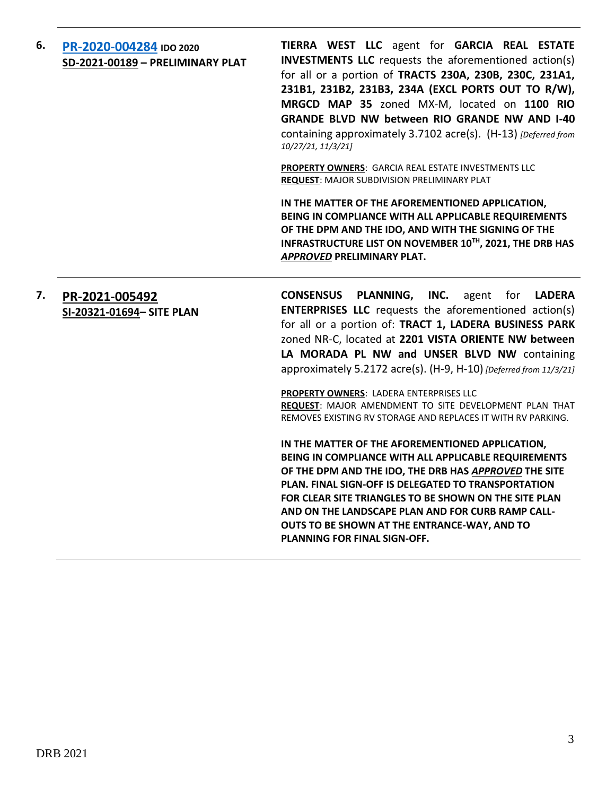## **6. [PR-2020-004284](file://///dmdview/DRB/PR-2020-004284/DRB%20Submittals/PR-2020-004284_Nov_10_2021_Supp/PD-2020-004284-RESUBMITAL-11052021.pdf) IDO 2020 SD-2021-00189 – PRELIMINARY PLAT**

**TIERRA WEST LLC** agent for **GARCIA REAL ESTATE INVESTMENTS LLC** requests the aforementioned action(s) for all or a portion of **TRACTS 230A, 230B, 230C, 231A1, 231B1, 231B2, 231B3, 234A (EXCL PORTS OUT TO R/W), MRGCD MAP 35** zoned MX-M, located on **1100 RIO GRANDE BLVD NW between RIO GRANDE NW AND I-40** containing approximately 3.7102 acre(s). (H-13) *[Deferred from 10/27/21, 11/3/21]*

**PROPERTY OWNERS**: GARCIA REAL ESTATE INVESTMENTS LLC **REQUEST**: MAJOR SUBDIVISION PRELIMINARY PLAT

**IN THE MATTER OF THE AFOREMENTIONED APPLICATION, BEING IN COMPLIANCE WITH ALL APPLICABLE REQUIREMENTS OF THE DPM AND THE IDO, AND WITH THE SIGNING OF THE INFRASTRUCTURE LIST ON NOVEMBER 10TH, 2021, THE DRB HAS**  *APPROVED* **PRELIMINARY PLAT.**

## **7. [PR-2021-005492](file://///dmdview/DRB/PR-2021-005492/DRB%20Submittals/PR-2021-005492_Nov_10_2021_Supp/Application) SI-20321-01694– SITE PLAN**

**CONSENSUS PLANNING, INC.** agent for **LADERA ENTERPRISES LLC** requests the aforementioned action(s) for all or a portion of: **TRACT 1, LADERA BUSINESS PARK** zoned NR-C, located at **2201 VISTA ORIENTE NW between LA MORADA PL NW and UNSER BLVD NW** containing approximately 5.2172 acre(s). (H-9, H-10) *[Deferred from 11/3/21]*

**PROPERTY OWNERS**: LADERA ENTERPRISES LLC **REQUEST**: MAJOR AMENDMENT TO SITE DEVELOPMENT PLAN THAT REMOVES EXISTING RV STORAGE AND REPLACES IT WITH RV PARKING.

**IN THE MATTER OF THE AFOREMENTIONED APPLICATION, BEING IN COMPLIANCE WITH ALL APPLICABLE REQUIREMENTS OF THE DPM AND THE IDO, THE DRB HAS** *APPROVED* **THE SITE PLAN. FINAL SIGN-OFF IS DELEGATED TO TRANSPORTATION FOR CLEAR SITE TRIANGLES TO BE SHOWN ON THE SITE PLAN AND ON THE LANDSCAPE PLAN AND FOR CURB RAMP CALL-OUTS TO BE SHOWN AT THE ENTRANCE-WAY, AND TO PLANNING FOR FINAL SIGN-OFF.**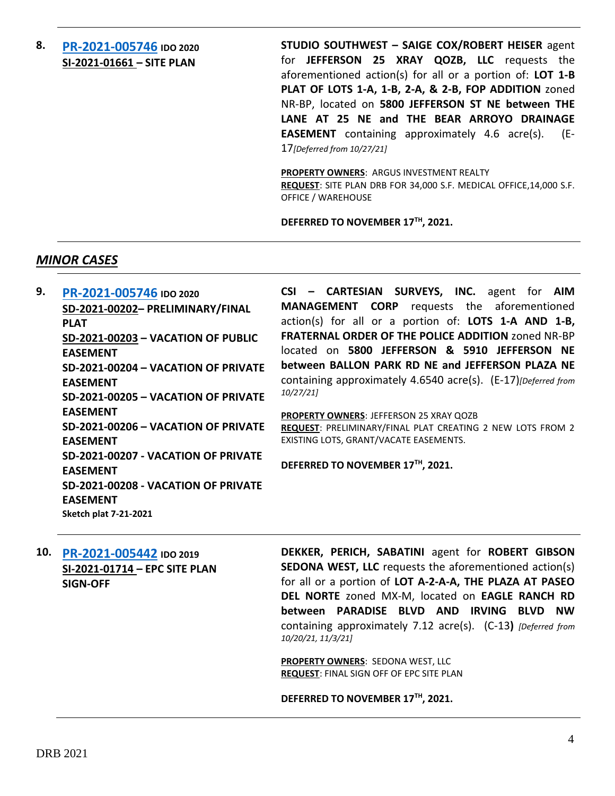## **8. [PR-2021-005746](file://///dmdview/DRB/PR-2021-005746/DRB%20Submittals) IDO 2020 SI-2021-01661 – SITE PLAN**

**STUDIO SOUTHWEST – SAIGE COX/ROBERT HEISER** agent for **JEFFERSON 25 XRAY QOZB, LLC** requests the aforementioned action(s) for all or a portion of: **LOT 1-B PLAT OF LOTS 1-A, 1-B, 2-A, & 2-B, FOP ADDITION** zoned NR-BP, located on **5800 JEFFERSON ST NE between THE LANE AT 25 NE and THE BEAR ARROYO DRAINAGE EASEMENT** containing approximately 4.6 acre(s). (E-17*[Deferred from 10/27/21]*

**PROPERTY OWNERS**: ARGUS INVESTMENT REALTY **REQUEST**: SITE PLAN DRB FOR 34,000 S.F. MEDICAL OFFICE,14,000 S.F. OFFICE / WAREHOUSE

**DEFERRED TO NOVEMBER 17TH, 2021.**

#### *MINOR CASES*

| 9. | PR-2021-005746 IDO 2020             | CSI - CARTESIAN SURVEYS, INC. agent for AIM                    |
|----|-------------------------------------|----------------------------------------------------------------|
|    | SD-2021-00202- PRELIMINARY/FINAL    | <b>MANAGEMENT CORP</b> requests the aforementioned             |
|    | <b>PLAT</b>                         | action(s) for all or a portion of: LOTS 1-A AND 1-B,           |
|    | SD-2021-00203 - VACATION OF PUBLIC  | <b>FRATERNAL ORDER OF THE POLICE ADDITION zoned NR-BP</b>      |
|    | <b>EASEMENT</b>                     | located on 5800 JEFFERSON & 5910 JEFFERSON NE                  |
|    | SD-2021-00204 - VACATION OF PRIVATE | between BALLON PARK RD NE and JEFFERSON PLAZA NE               |
|    | <b>EASEMENT</b>                     | containing approximately 4.6540 acre(s). (E-17) [Deferred from |
|    | SD-2021-00205 - VACATION OF PRIVATE | 10/27/21]                                                      |
|    | <b>EASEMENT</b>                     | <b>PROPERTY OWNERS: JEFFERSON 25 XRAY QOZB</b>                 |
|    | SD-2021-00206 - VACATION OF PRIVATE | REQUEST: PRELIMINARY/FINAL PLAT CREATING 2 NEW LOTS FROM 2     |
|    | <b>EASEMENT</b>                     | EXISTING LOTS, GRANT/VACATE EASEMENTS.                         |
|    | SD-2021-00207 - VACATION OF PRIVATE |                                                                |
|    | <b>EASEMENT</b>                     | DEFERRED TO NOVEMBER 17TH, 2021.                               |
|    | SD-2021-00208 - VACATION OF PRIVATE |                                                                |
|    | <b>EASEMENT</b>                     |                                                                |
|    | Sketch plat 7-21-2021               |                                                                |

**10. [PR-2021-005442](file://///dmdview/DRB/PR-2021-005442/DRB%20Submittals) IDO 2019 SI-2021-01714 – EPC SITE PLAN SIGN-OFF**

**DEKKER, PERICH, SABATINI** agent for **ROBERT GIBSON SEDONA WEST, LLC** requests the aforementioned action(s) for all or a portion of **LOT A-2-A-A, THE PLAZA AT PASEO DEL NORTE** zoned MX-M, located on **EAGLE RANCH RD between PARADISE BLVD AND IRVING BLVD NW**  containing approximately 7.12 acre(s). (C-13**)** *[Deferred from 10/20/21, 11/3/21]*

**PROPERTY OWNERS**: SEDONA WEST, LLC **REQUEST**: FINAL SIGN OFF OF EPC SITE PLAN

**DEFERRED TO NOVEMBER 17TH, 2021.**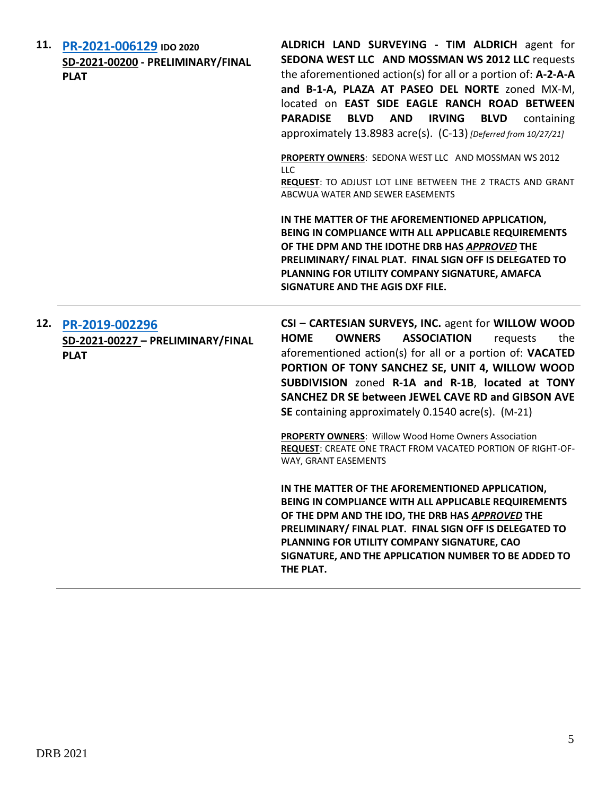| 11. | PR-2021-006129 IDO 2020<br>SD-2021-00200 - PRELIMINARY/FINAL<br><b>PLAT</b> | ALDRICH LAND SURVEYING - TIM ALDRICH agent for<br>SEDONA WEST LLC AND MOSSMAN WS 2012 LLC requests<br>the aforementioned action(s) for all or a portion of: $A$ -2-A-A<br>and B-1-A, PLAZA AT PASEO DEL NORTE zoned MX-M,<br>located on EAST SIDE EAGLE RANCH ROAD BETWEEN<br><b>PARADISE</b><br><b>BLVD AND IRVING</b><br><b>BLVD</b><br>containing<br>approximately 13.8983 acre(s). (C-13) [Deferred from 10/27/21]                                                                                                                                             |
|-----|-----------------------------------------------------------------------------|--------------------------------------------------------------------------------------------------------------------------------------------------------------------------------------------------------------------------------------------------------------------------------------------------------------------------------------------------------------------------------------------------------------------------------------------------------------------------------------------------------------------------------------------------------------------|
|     |                                                                             | PROPERTY OWNERS: SEDONA WEST LLC AND MOSSMAN WS 2012<br><b>LLC</b><br>REQUEST: TO ADJUST LOT LINE BETWEEN THE 2 TRACTS AND GRANT<br>ABCWUA WATER AND SEWER EASEMENTS                                                                                                                                                                                                                                                                                                                                                                                               |
|     |                                                                             | IN THE MATTER OF THE AFOREMENTIONED APPLICATION,<br>BEING IN COMPLIANCE WITH ALL APPLICABLE REQUIREMENTS<br>OF THE DPM AND THE IDOTHE DRB HAS APPROVED THE<br>PRELIMINARY/ FINAL PLAT. FINAL SIGN OFF IS DELEGATED TO<br>PLANNING FOR UTILITY COMPANY SIGNATURE, AMAFCA<br>SIGNATURE AND THE AGIS DXF FILE.                                                                                                                                                                                                                                                        |
| 12. | PR-2019-002296<br>SD-2021-00227 - PRELIMINARY/FINAL<br><b>PLAT</b>          | CSI - CARTESIAN SURVEYS, INC. agent for WILLOW WOOD<br><b>HOME</b><br><b>OWNERS</b><br><b>ASSOCIATION</b><br>the<br>requests<br>aforementioned action(s) for all or a portion of: VACATED<br>PORTION OF TONY SANCHEZ SE, UNIT 4, WILLOW WOOD<br>SUBDIVISION zoned R-1A and R-1B, located at TONY<br>SANCHEZ DR SE between JEWEL CAVE RD and GIBSON AVE<br>SE containing approximately 0.1540 acre(s). (M-21)<br><b>PROPERTY OWNERS: Willow Wood Home Owners Association</b><br>REQUEST: CREATE ONE TRACT FROM VACATED PORTION OF RIGHT-OF-<br>WAY, GRANT EASEMENTS |
|     |                                                                             | IN THE MATTER OF THE AFOREMENTIONED APPLICATION,<br>BEING IN COMPLIANCE WITH ALL APPLICABLE REQUIREMENTS<br>OF THE DPM AND THE IDO, THE DRB HAS APPROVED THE<br>PRELIMINARY/ FINAL PLAT. FINAL SIGN OFF IS DELEGATED TO<br>PLANNING FOR UTILITY COMPANY SIGNATURE, CAO<br>SIGNATURE, AND THE APPLICATION NUMBER TO BE ADDED TO<br>THE PLAT.                                                                                                                                                                                                                        |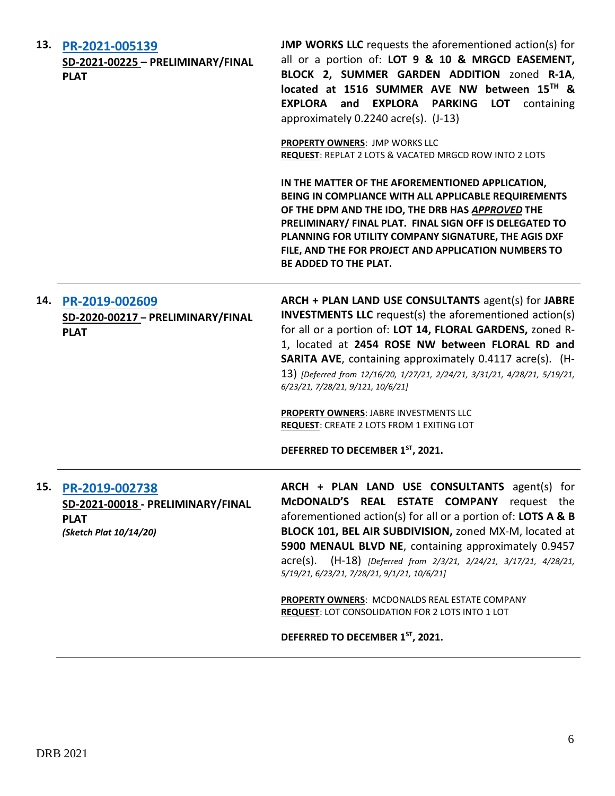| 13. | PR-2021-005139<br>SD-2021-00225 - PRELIMINARY/FINAL<br><b>PLAT</b>                           | <b>JMP WORKS LLC</b> requests the aforementioned action(s) for<br>all or a portion of: LOT 9 & 10 & MRGCD EASEMENT,<br>BLOCK 2, SUMMER GARDEN ADDITION zoned R-1A,<br>located at 1516 SUMMER AVE NW between 15TH &<br>EXPLORA and EXPLORA PARKING LOT containing<br>approximately 0.2240 acre(s). (J-13)<br><b>PROPERTY OWNERS: JMP WORKS LLC</b><br><b>REQUEST: REPLAT 2 LOTS &amp; VACATED MRGCD ROW INTO 2 LOTS</b><br>IN THE MATTER OF THE AFOREMENTIONED APPLICATION,<br>BEING IN COMPLIANCE WITH ALL APPLICABLE REQUIREMENTS<br>OF THE DPM AND THE IDO, THE DRB HAS APPROVED THE<br>PRELIMINARY/ FINAL PLAT. FINAL SIGN OFF IS DELEGATED TO<br>PLANNING FOR UTILITY COMPANY SIGNATURE, THE AGIS DXF<br>FILE, AND THE FOR PROJECT AND APPLICATION NUMBERS TO<br>BE ADDED TO THE PLAT. |
|-----|----------------------------------------------------------------------------------------------|--------------------------------------------------------------------------------------------------------------------------------------------------------------------------------------------------------------------------------------------------------------------------------------------------------------------------------------------------------------------------------------------------------------------------------------------------------------------------------------------------------------------------------------------------------------------------------------------------------------------------------------------------------------------------------------------------------------------------------------------------------------------------------------------|
| 14. | PR-2019-002609<br>SD-2020-00217 - PRELIMINARY/FINAL<br><b>PLAT</b>                           | ARCH + PLAN LAND USE CONSULTANTS agent(s) for JABRE<br><b>INVESTMENTS LLC</b> request(s) the aforementioned action(s)<br>for all or a portion of: LOT 14, FLORAL GARDENS, zoned R-<br>1, located at 2454 ROSE NW between FLORAL RD and<br><b>SARITA AVE, containing approximately 0.4117 acre(s). (H-</b><br>13) [Deferred from 12/16/20, 1/27/21, 2/24/21, 3/31/21, 4/28/21, 5/19/21,<br>6/23/21, 7/28/21, 9/121, 10/6/21]<br>PROPERTY OWNERS: JABRE INVESTMENTS LLC<br><b>REQUEST: CREATE 2 LOTS FROM 1 EXITING LOT</b><br>DEFERRED TO DECEMBER 1ST, 2021.                                                                                                                                                                                                                               |
| 15. | PR-2019-002738<br>SD-2021-00018 - PRELIMINARY/FINAL<br><b>PLAT</b><br>(Sketch Plat 10/14/20) | ARCH + PLAN LAND USE CONSULTANTS agent(s) for<br>McDONALD'S REAL ESTATE COMPANY request the<br>aforementioned action(s) for all or a portion of: LOTS A & B<br>BLOCK 101, BEL AIR SUBDIVISION, zoned MX-M, located at<br>5900 MENAUL BLVD NE, containing approximately 0.9457<br>acre(s). (H-18) [Deferred from 2/3/21, 2/24/21, 3/17/21, 4/28/21,<br>5/19/21, 6/23/21, 7/28/21, 9/1/21, 10/6/21]<br>PROPERTY OWNERS: MCDONALDS REAL ESTATE COMPANY<br>REQUEST: LOT CONSOLIDATION FOR 2 LOTS INTO 1 LOT<br>DEFERRED TO DECEMBER 1ST, 2021.                                                                                                                                                                                                                                                 |